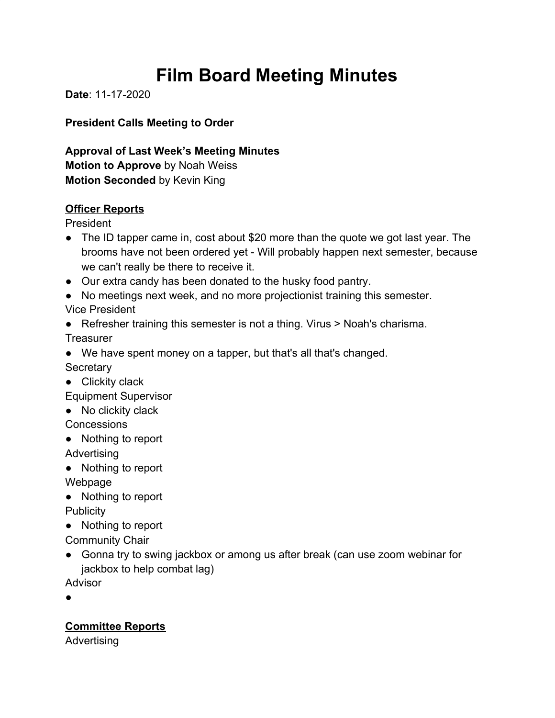# **Film Board Meeting Minutes**

**Date**: 11-17-2020

**President Calls Meeting to Order**

**Approval of Last Week's Meeting Minutes Motion to Approve** by Noah Weiss **Motion Seconded** by Kevin King

# **Officer Reports**

President

- The ID tapper came in, cost about \$20 more than the quote we got last year. The brooms have not been ordered yet - Will probably happen next semester, because we can't really be there to receive it.
- Our extra candy has been donated to the husky food pantry.
- No meetings next week, and no more projectionist training this semester.

Vice President

● Refresher training this semester is not a thing. Virus > Noah's charisma. **Treasurer** 

● We have spent money on a tapper, but that's all that's changed.

**Secretary** 

● Clickity clack

Equipment Supervisor

● No clickity clack

**Concessions** 

● Nothing to report

Advertising

● Nothing to report

Webpage

● Nothing to report

**Publicity** 

● Nothing to report

Community Chair

● Gonna try to swing jackbox or among us after break (can use zoom webinar for jackbox to help combat lag)

Advisor

●

**Committee Reports**

Advertising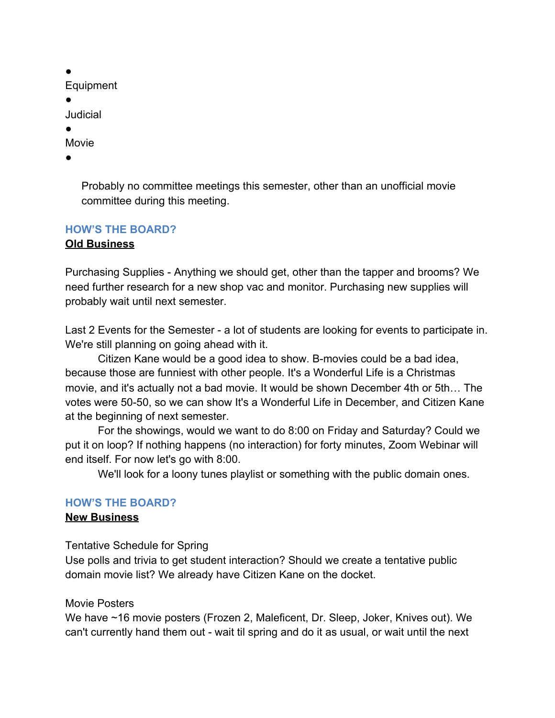● Equipment ● **Judicial** ● Movie

●

Probably no committee meetings this semester, other than an unofficial movie committee during this meeting.

### **HOW'S THE BOARD? Old Business**

Purchasing Supplies - Anything we should get, other than the tapper and brooms? We need further research for a new shop vac and monitor. Purchasing new supplies will probably wait until next semester.

Last 2 Events for the Semester - a lot of students are looking for events to participate in. We're still planning on going ahead with it.

Citizen Kane would be a good idea to show. B-movies could be a bad idea, because those are funniest with other people. It's a Wonderful Life is a Christmas movie, and it's actually not a bad movie. It would be shown December 4th or 5th… The votes were 50-50, so we can show It's a Wonderful Life in December, and Citizen Kane at the beginning of next semester.

For the showings, would we want to do 8:00 on Friday and Saturday? Could we put it on loop? If nothing happens (no interaction) for forty minutes, Zoom Webinar will end itself. For now let's go with 8:00.

We'll look for a loony tunes playlist or something with the public domain ones.

# **HOW'S THE BOARD?**

#### **New Business**

Tentative Schedule for Spring

Use polls and trivia to get student interaction? Should we create a tentative public domain movie list? We already have Citizen Kane on the docket.

#### Movie Posters

We have ~16 movie posters (Frozen 2, Maleficent, Dr. Sleep, Joker, Knives out). We can't currently hand them out - wait til spring and do it as usual, or wait until the next